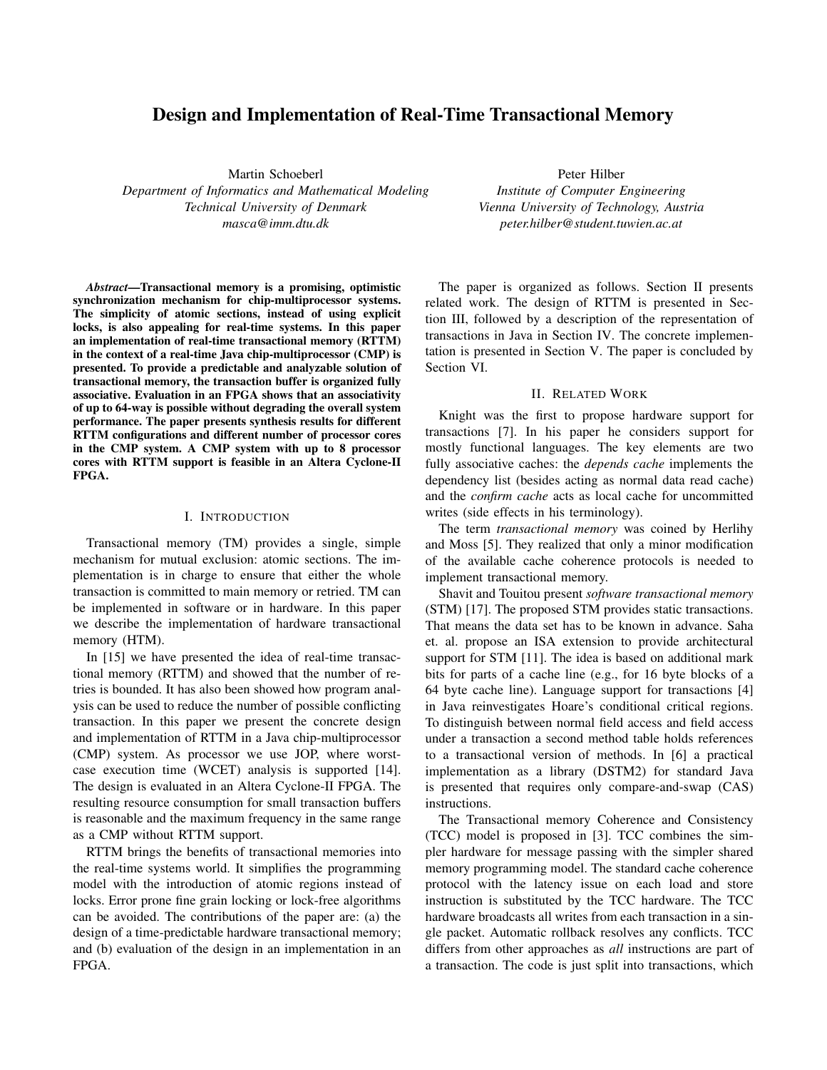# Design and Implementation of Real-Time Transactional Memory

Martin Schoeberl *Department of Informatics and Mathematical Modeling Technical University of Denmark masca@imm.dtu.dk*

*Abstract*—Transactional memory is a promising, optimistic synchronization mechanism for chip-multiprocessor systems. The simplicity of atomic sections, instead of using explicit locks, is also appealing for real-time systems. In this paper an implementation of real-time transactional memory (RTTM) in the context of a real-time Java chip-multiprocessor (CMP) is presented. To provide a predictable and analyzable solution of transactional memory, the transaction buffer is organized fully associative. Evaluation in an FPGA shows that an associativity of up to 64-way is possible without degrading the overall system performance. The paper presents synthesis results for different RTTM configurations and different number of processor cores in the CMP system. A CMP system with up to 8 processor cores with RTTM support is feasible in an Altera Cyclone-II FPGA.

#### I. INTRODUCTION

Transactional memory (TM) provides a single, simple mechanism for mutual exclusion: atomic sections. The implementation is in charge to ensure that either the whole transaction is committed to main memory or retried. TM can be implemented in software or in hardware. In this paper we describe the implementation of hardware transactional memory (HTM).

In [15] we have presented the idea of real-time transactional memory (RTTM) and showed that the number of retries is bounded. It has also been showed how program analysis can be used to reduce the number of possible conflicting transaction. In this paper we present the concrete design and implementation of RTTM in a Java chip-multiprocessor (CMP) system. As processor we use JOP, where worstcase execution time (WCET) analysis is supported [14]. The design is evaluated in an Altera Cyclone-II FPGA. The resulting resource consumption for small transaction buffers is reasonable and the maximum frequency in the same range as a CMP without RTTM support.

RTTM brings the benefits of transactional memories into the real-time systems world. It simplifies the programming model with the introduction of atomic regions instead of locks. Error prone fine grain locking or lock-free algorithms can be avoided. The contributions of the paper are: (a) the design of a time-predictable hardware transactional memory; and (b) evaluation of the design in an implementation in an FPGA.

Peter Hilber *Institute of Computer Engineering Vienna University of Technology, Austria peter.hilber@student.tuwien.ac.at*

The paper is organized as follows. Section II presents related work. The design of RTTM is presented in Section III, followed by a description of the representation of transactions in Java in Section IV. The concrete implementation is presented in Section V. The paper is concluded by Section VI.

# II. RELATED WORK

Knight was the first to propose hardware support for transactions [7]. In his paper he considers support for mostly functional languages. The key elements are two fully associative caches: the *depends cache* implements the dependency list (besides acting as normal data read cache) and the *confirm cache* acts as local cache for uncommitted writes (side effects in his terminology).

The term *transactional memory* was coined by Herlihy and Moss [5]. They realized that only a minor modification of the available cache coherence protocols is needed to implement transactional memory.

Shavit and Touitou present *software transactional memory* (STM) [17]. The proposed STM provides static transactions. That means the data set has to be known in advance. Saha et. al. propose an ISA extension to provide architectural support for STM [11]. The idea is based on additional mark bits for parts of a cache line (e.g., for 16 byte blocks of a 64 byte cache line). Language support for transactions [4] in Java reinvestigates Hoare's conditional critical regions. To distinguish between normal field access and field access under a transaction a second method table holds references to a transactional version of methods. In [6] a practical implementation as a library (DSTM2) for standard Java is presented that requires only compare-and-swap (CAS) instructions.

The Transactional memory Coherence and Consistency (TCC) model is proposed in [3]. TCC combines the simpler hardware for message passing with the simpler shared memory programming model. The standard cache coherence protocol with the latency issue on each load and store instruction is substituted by the TCC hardware. The TCC hardware broadcasts all writes from each transaction in a single packet. Automatic rollback resolves any conflicts. TCC differs from other approaches as *all* instructions are part of a transaction. The code is just split into transactions, which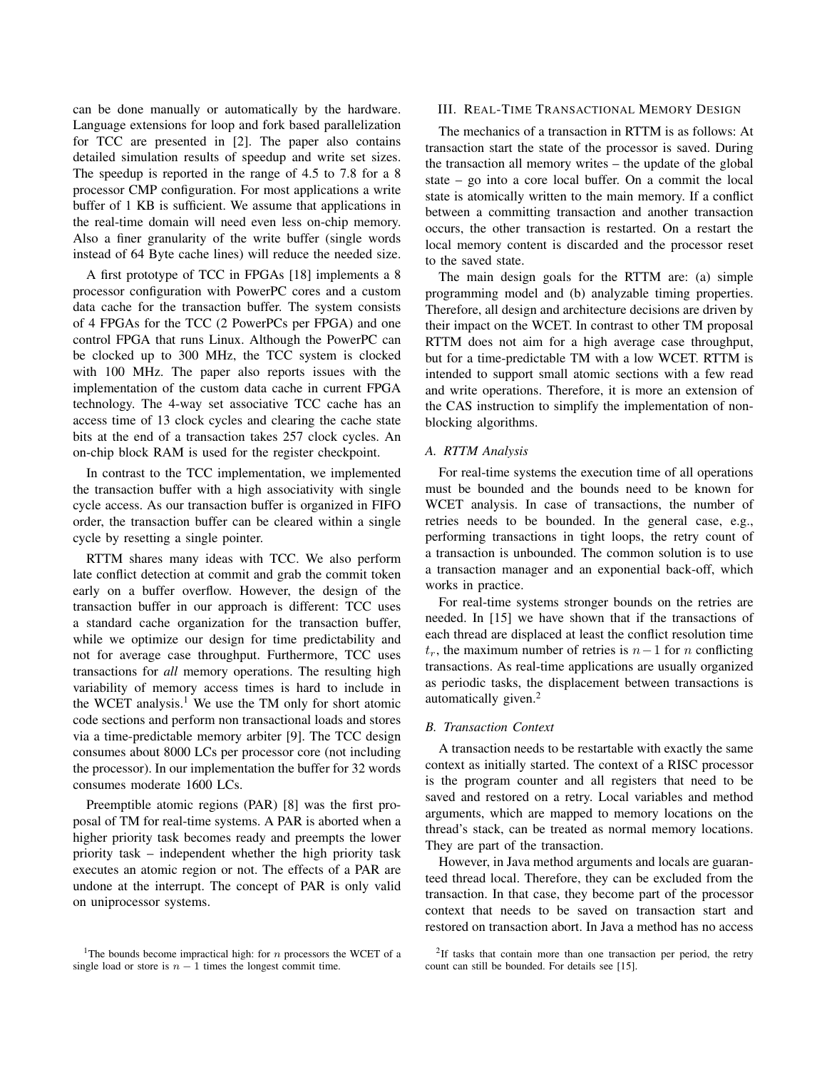can be done manually or automatically by the hardware. Language extensions for loop and fork based parallelization for TCC are presented in [2]. The paper also contains detailed simulation results of speedup and write set sizes. The speedup is reported in the range of 4.5 to 7.8 for a 8 processor CMP configuration. For most applications a write buffer of 1 KB is sufficient. We assume that applications in the real-time domain will need even less on-chip memory. Also a finer granularity of the write buffer (single words instead of 64 Byte cache lines) will reduce the needed size.

A first prototype of TCC in FPGAs [18] implements a 8 processor configuration with PowerPC cores and a custom data cache for the transaction buffer. The system consists of 4 FPGAs for the TCC (2 PowerPCs per FPGA) and one control FPGA that runs Linux. Although the PowerPC can be clocked up to 300 MHz, the TCC system is clocked with 100 MHz. The paper also reports issues with the implementation of the custom data cache in current FPGA technology. The 4-way set associative TCC cache has an access time of 13 clock cycles and clearing the cache state bits at the end of a transaction takes 257 clock cycles. An on-chip block RAM is used for the register checkpoint.

In contrast to the TCC implementation, we implemented the transaction buffer with a high associativity with single cycle access. As our transaction buffer is organized in FIFO order, the transaction buffer can be cleared within a single cycle by resetting a single pointer.

RTTM shares many ideas with TCC. We also perform late conflict detection at commit and grab the commit token early on a buffer overflow. However, the design of the transaction buffer in our approach is different: TCC uses a standard cache organization for the transaction buffer, while we optimize our design for time predictability and not for average case throughput. Furthermore, TCC uses transactions for *all* memory operations. The resulting high variability of memory access times is hard to include in the WCET analysis.<sup>1</sup> We use the TM only for short atomic code sections and perform non transactional loads and stores via a time-predictable memory arbiter [9]. The TCC design consumes about 8000 LCs per processor core (not including the processor). In our implementation the buffer for 32 words consumes moderate 1600 LCs.

Preemptible atomic regions (PAR) [8] was the first proposal of TM for real-time systems. A PAR is aborted when a higher priority task becomes ready and preempts the lower priority task – independent whether the high priority task executes an atomic region or not. The effects of a PAR are undone at the interrupt. The concept of PAR is only valid on uniprocessor systems.

# III. REAL-TIME TRANSACTIONAL MEMORY DESIGN

The mechanics of a transaction in RTTM is as follows: At transaction start the state of the processor is saved. During the transaction all memory writes – the update of the global state – go into a core local buffer. On a commit the local state is atomically written to the main memory. If a conflict between a committing transaction and another transaction occurs, the other transaction is restarted. On a restart the local memory content is discarded and the processor reset to the saved state.

The main design goals for the RTTM are: (a) simple programming model and (b) analyzable timing properties. Therefore, all design and architecture decisions are driven by their impact on the WCET. In contrast to other TM proposal RTTM does not aim for a high average case throughput, but for a time-predictable TM with a low WCET. RTTM is intended to support small atomic sections with a few read and write operations. Therefore, it is more an extension of the CAS instruction to simplify the implementation of nonblocking algorithms.

#### *A. RTTM Analysis*

For real-time systems the execution time of all operations must be bounded and the bounds need to be known for WCET analysis. In case of transactions, the number of retries needs to be bounded. In the general case, e.g., performing transactions in tight loops, the retry count of a transaction is unbounded. The common solution is to use a transaction manager and an exponential back-off, which works in practice.

For real-time systems stronger bounds on the retries are needed. In [15] we have shown that if the transactions of each thread are displaced at least the conflict resolution time  $t_r$ , the maximum number of retries is  $n-1$  for n conflicting transactions. As real-time applications are usually organized as periodic tasks, the displacement between transactions is automatically given.<sup>2</sup>

## *B. Transaction Context*

A transaction needs to be restartable with exactly the same context as initially started. The context of a RISC processor is the program counter and all registers that need to be saved and restored on a retry. Local variables and method arguments, which are mapped to memory locations on the thread's stack, can be treated as normal memory locations. They are part of the transaction.

However, in Java method arguments and locals are guaranteed thread local. Therefore, they can be excluded from the transaction. In that case, they become part of the processor context that needs to be saved on transaction start and restored on transaction abort. In Java a method has no access

<sup>&</sup>lt;sup>1</sup>The bounds become impractical high: for  $n$  processors the WCET of a single load or store is  $n - 1$  times the longest commit time.

 $2$ If tasks that contain more than one transaction per period, the retry count can still be bounded. For details see [15].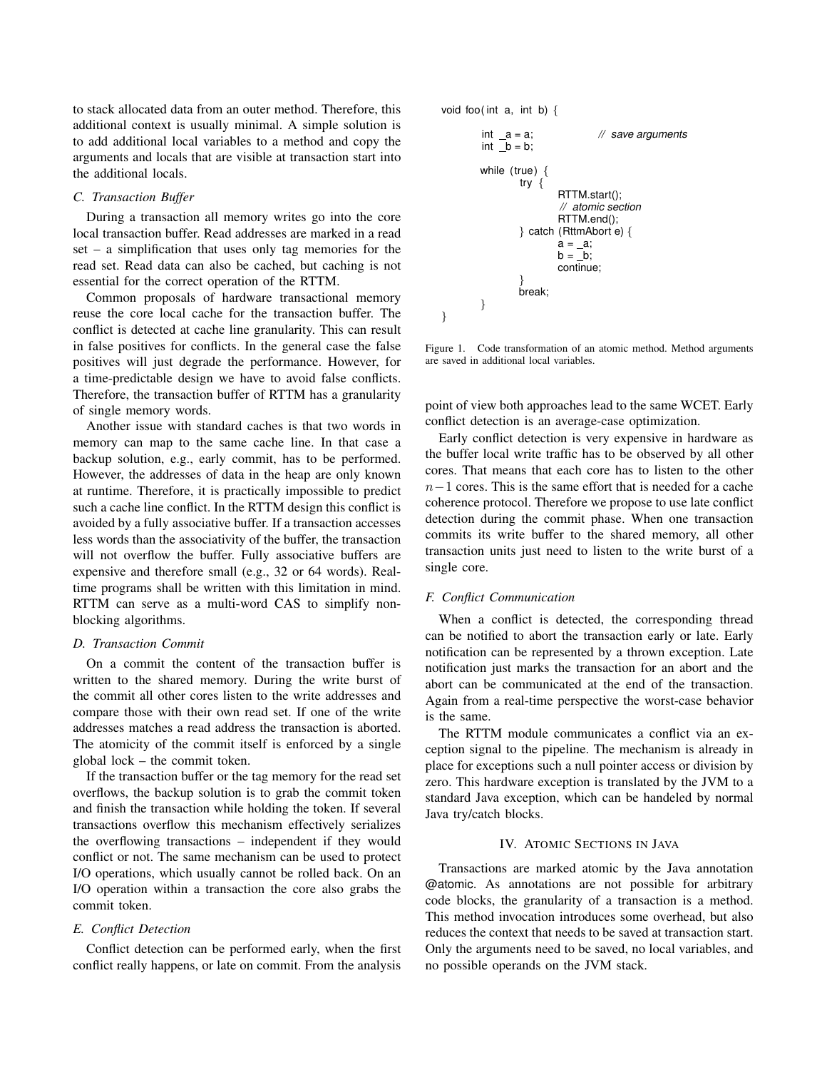to stack allocated data from an outer method. Therefore, this additional context is usually minimal. A simple solution is to add additional local variables to a method and copy the arguments and locals that are visible at transaction start into the additional locals.

# *C. Transaction Buffer*

During a transaction all memory writes go into the core local transaction buffer. Read addresses are marked in a read set – a simplification that uses only tag memories for the read set. Read data can also be cached, but caching is not essential for the correct operation of the RTTM.

Common proposals of hardware transactional memory reuse the core local cache for the transaction buffer. The conflict is detected at cache line granularity. This can result in false positives for conflicts. In the general case the false positives will just degrade the performance. However, for a time-predictable design we have to avoid false conflicts. Therefore, the transaction buffer of RTTM has a granularity of single memory words.

Another issue with standard caches is that two words in memory can map to the same cache line. In that case a backup solution, e.g., early commit, has to be performed. However, the addresses of data in the heap are only known at runtime. Therefore, it is practically impossible to predict such a cache line conflict. In the RTTM design this conflict is avoided by a fully associative buffer. If a transaction accesses less words than the associativity of the buffer, the transaction will not overflow the buffer. Fully associative buffers are expensive and therefore small (e.g., 32 or 64 words). Realtime programs shall be written with this limitation in mind. RTTM can serve as a multi-word CAS to simplify nonblocking algorithms.

#### *D. Transaction Commit*

On a commit the content of the transaction buffer is written to the shared memory. During the write burst of the commit all other cores listen to the write addresses and compare those with their own read set. If one of the write addresses matches a read address the transaction is aborted. The atomicity of the commit itself is enforced by a single global lock – the commit token.

If the transaction buffer or the tag memory for the read set overflows, the backup solution is to grab the commit token and finish the transaction while holding the token. If several transactions overflow this mechanism effectively serializes the overflowing transactions – independent if they would conflict or not. The same mechanism can be used to protect I/O operations, which usually cannot be rolled back. On an I/O operation within a transaction the core also grabs the commit token.

## *E. Conflict Detection*

Conflict detection can be performed early, when the first conflict really happens, or late on commit. From the analysis

```
void foo( int a, int b) {
```

```
int a = a; // save arguments
       int b = b;
       while (true) \{try {
                      RTTM.start();
                      // atomic section
                      RTTM.end();
              } catch (RttmAbort e) {
                      a = a;
                      b = b;
                      continue;
               }
              break;
       }
}
```
Figure 1. Code transformation of an atomic method. Method arguments are saved in additional local variables.

point of view both approaches lead to the same WCET. Early conflict detection is an average-case optimization.

Early conflict detection is very expensive in hardware as the buffer local write traffic has to be observed by all other cores. That means that each core has to listen to the other  $n-1$  cores. This is the same effort that is needed for a cache coherence protocol. Therefore we propose to use late conflict detection during the commit phase. When one transaction commits its write buffer to the shared memory, all other transaction units just need to listen to the write burst of a single core.

#### *F. Conflict Communication*

When a conflict is detected, the corresponding thread can be notified to abort the transaction early or late. Early notification can be represented by a thrown exception. Late notification just marks the transaction for an abort and the abort can be communicated at the end of the transaction. Again from a real-time perspective the worst-case behavior is the same.

The RTTM module communicates a conflict via an exception signal to the pipeline. The mechanism is already in place for exceptions such a null pointer access or division by zero. This hardware exception is translated by the JVM to a standard Java exception, which can be handeled by normal Java try/catch blocks.

## IV. ATOMIC SECTIONS IN JAVA

Transactions are marked atomic by the Java annotation @atomic. As annotations are not possible for arbitrary code blocks, the granularity of a transaction is a method. This method invocation introduces some overhead, but also reduces the context that needs to be saved at transaction start. Only the arguments need to be saved, no local variables, and no possible operands on the JVM stack.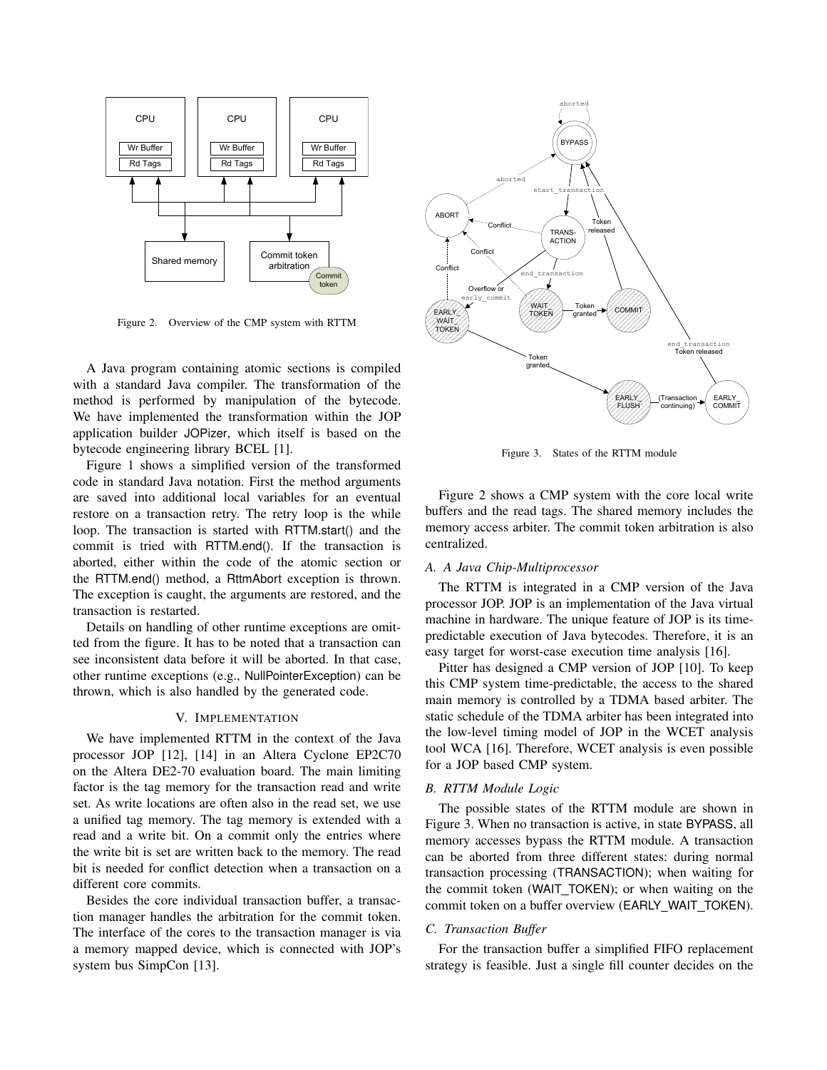

Figure 2. Overview of the CMP system with RTTM

A Java program containing atomic sections is compiled with a standard Java compiler. The transformation of the method is performed by manipulation of the bytecode. We have implemented the transformation within the JOP application builder JOPizer, which itself is based on the bytecode engineering library BCEL [1].

Figure 1 shows a simplified version of the transformed code in standard Java notation. First the method arguments are saved into additional local variables for an eventual restore on a transaction retry. The retry loop is the while loop. The transaction is started with RTTM.start() and the commit is tried with RTTM.end(). If the transaction is aborted, either within the code of the atomic section or the RTTM.end() method, a RttmAbort exception is thrown. The exception is caught, the arguments are restored, and the transaction is restarted.

Details on handling of other runtime exceptions are omitted from the figure. It has to be noted that a transaction can see inconsistent data before it will be aborted. In that case, other runtime exceptions (e.g., NullPointerException) can be thrown, which is also handled by the generated code.

# V. IMPLEMENTATION

We have implemented RTTM in the context of the Java processor JOP [12], [14] in an Altera Cyclone EP2C70 on the Altera DE2-70 evaluation board. The main limiting factor is the tag memory for the transaction read and write set. As write locations are often also in the read set, we use a unified tag memory. The tag memory is extended with a read and a write bit. On a commit only the entries where the write bit is set are written back to the memory. The read bit is needed for conflict detection when a transaction on a different core commits.

Besides the core individual transaction buffer, a transaction manager handles the arbitration for the commit token. The interface of the cores to the transaction manager is via a memory mapped device, which is connected with JOP's system bus SimpCon [13].



Figure 3. States of the RTTM module

Figure 2 shows a CMP system with the core local write buffers and the read tags. The shared memory includes the memory access arbiter. The commit token arbitration is also centralized.

#### *A. A Java Chip-Multiprocessor*

The RTTM is integrated in a CMP version of the Java processor JOP. JOP is an implementation of the Java virtual machine in hardware. The unique feature of JOP is its timepredictable execution of Java bytecodes. Therefore, it is an easy target for worst-case execution time analysis [16].

Pitter has designed a CMP version of JOP [10]. To keep this CMP system time-predictable, the access to the shared main memory is controlled by a TDMA based arbiter. The static schedule of the TDMA arbiter has been integrated into the low-level timing model of JOP in the WCET analysis tool WCA [16]. Therefore, WCET analysis is even possible for a JOP based CMP system.

# *B. RTTM Module Logic*

The possible states of the RTTM module are shown in Figure 3. When no transaction is active, in state BYPASS, all memory accesses bypass the RTTM module. A transaction can be aborted from three different states: during normal transaction processing (TRANSACTION); when waiting for the commit token (WAIT\_TOKEN); or when waiting on the commit token on a buffer overview (EARLY WAIT TOKEN).

#### *C. Transaction Buffer*

For the transaction buffer a simplified FIFO replacement strategy is feasible. Just a single fill counter decides on the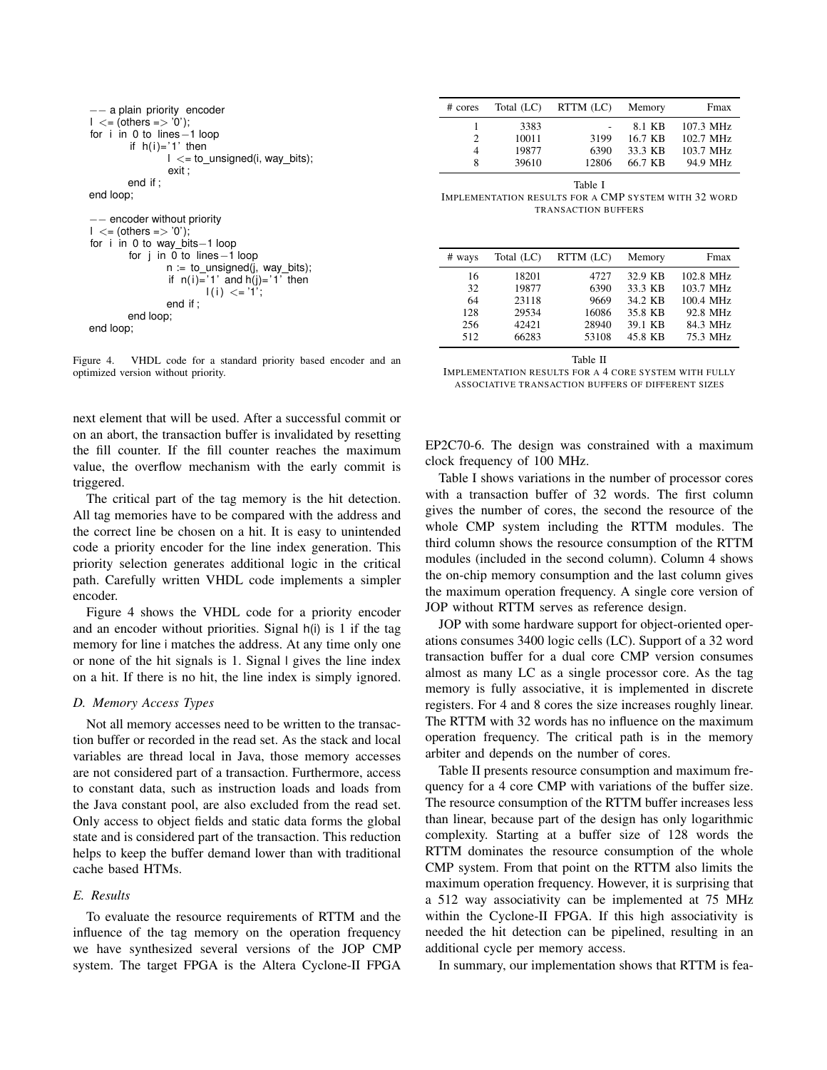```
−− a plain priority encoder
\vert \langle = \vert \text{others} \vert = \rangle '0');
for i in 0 to lines−1 loop
          if h(i)=1' then
                   \vert \vert \vert = to unsigned(i, way bits);
                     exit ;
          end if ;
end loop;
−− encoder without priority
| \langle = | \text{others} = \rangle \langle 0 \rangle;
for i in 0 to way bits−1 loop
          for j in 0 to lines−1 loop
                    n := to_unsigned(j, way_bits);
                    if n(i) = '1' and n(j) = '1' then
                              1(i) < = '1';end if ;
          end loop;
end loop;
```
Figure 4. VHDL code for a standard priority based encoder and an optimized version without priority.

next element that will be used. After a successful commit or on an abort, the transaction buffer is invalidated by resetting the fill counter. If the fill counter reaches the maximum value, the overflow mechanism with the early commit is triggered.

The critical part of the tag memory is the hit detection. All tag memories have to be compared with the address and the correct line be chosen on a hit. It is easy to unintended code a priority encoder for the line index generation. This priority selection generates additional logic in the critical path. Carefully written VHDL code implements a simpler encoder.

Figure 4 shows the VHDL code for a priority encoder and an encoder without priorities. Signal h(i) is 1 if the tag memory for line i matches the address. At any time only one or none of the hit signals is 1. Signal l gives the line index on a hit. If there is no hit, the line index is simply ignored.

## *D. Memory Access Types*

Not all memory accesses need to be written to the transaction buffer or recorded in the read set. As the stack and local variables are thread local in Java, those memory accesses are not considered part of a transaction. Furthermore, access to constant data, such as instruction loads and loads from the Java constant pool, are also excluded from the read set. Only access to object fields and static data forms the global state and is considered part of the transaction. This reduction helps to keep the buffer demand lower than with traditional cache based HTMs.

# *E. Results*

To evaluate the resource requirements of RTTM and the influence of the tag memory on the operation frequency we have synthesized several versions of the JOP CMP system. The target FPGA is the Altera Cyclone-II FPGA

| $# \; \text{cores}$ | Total (LC) | RTTM (LC) | Memory  | Fmax      |
|---------------------|------------|-----------|---------|-----------|
|                     | 3383       |           | 8.1 KB  | 107.3 MHz |
| 2                   | 10011      | 3199      | 16.7 KB | 102.7 MHz |
| 4                   | 19877      | 6390      | 33.3 KB | 103.7 MHz |
| 8                   | 39610      | 12806     | 66.7 KB | 94.9 MHz  |

Table I IMPLEMENTATION RESULTS FOR A CMP SYSTEM WITH 32 WORD TRANSACTION BUFFERS

| # ways | Total (LC) | RTTM (LC) | Memory  | Fmax      |
|--------|------------|-----------|---------|-----------|
| 16     | 18201      | 4727      | 32.9 KB | 102.8 MHz |
| 32     | 19877      | 6390      | 33.3 KB | 103.7 MHz |
| 64     | 23118      | 9669      | 34.2 KB | 100.4 MHz |
| 128    | 29534      | 16086     | 35.8 KB | 92.8 MHz  |
| 256    | 42421      | 28940     | 39.1 KB | 84.3 MHz  |
| 512    | 66283      | 53108     | 45.8 KB | 75.3 MHz  |

Table II IMPLEMENTATION RESULTS FOR A 4 CORE SYSTEM WITH FULLY ASSOCIATIVE TRANSACTION BUFFERS OF DIFFERENT SIZES

EP2C70-6. The design was constrained with a maximum clock frequency of 100 MHz.

Table I shows variations in the number of processor cores with a transaction buffer of 32 words. The first column gives the number of cores, the second the resource of the whole CMP system including the RTTM modules. The third column shows the resource consumption of the RTTM modules (included in the second column). Column 4 shows the on-chip memory consumption and the last column gives the maximum operation frequency. A single core version of JOP without RTTM serves as reference design.

JOP with some hardware support for object-oriented operations consumes 3400 logic cells (LC). Support of a 32 word transaction buffer for a dual core CMP version consumes almost as many LC as a single processor core. As the tag memory is fully associative, it is implemented in discrete registers. For 4 and 8 cores the size increases roughly linear. The RTTM with 32 words has no influence on the maximum operation frequency. The critical path is in the memory arbiter and depends on the number of cores.

Table II presents resource consumption and maximum frequency for a 4 core CMP with variations of the buffer size. The resource consumption of the RTTM buffer increases less than linear, because part of the design has only logarithmic complexity. Starting at a buffer size of 128 words the RTTM dominates the resource consumption of the whole CMP system. From that point on the RTTM also limits the maximum operation frequency. However, it is surprising that a 512 way associativity can be implemented at 75 MHz within the Cyclone-II FPGA. If this high associativity is needed the hit detection can be pipelined, resulting in an additional cycle per memory access.

In summary, our implementation shows that RTTM is fea-